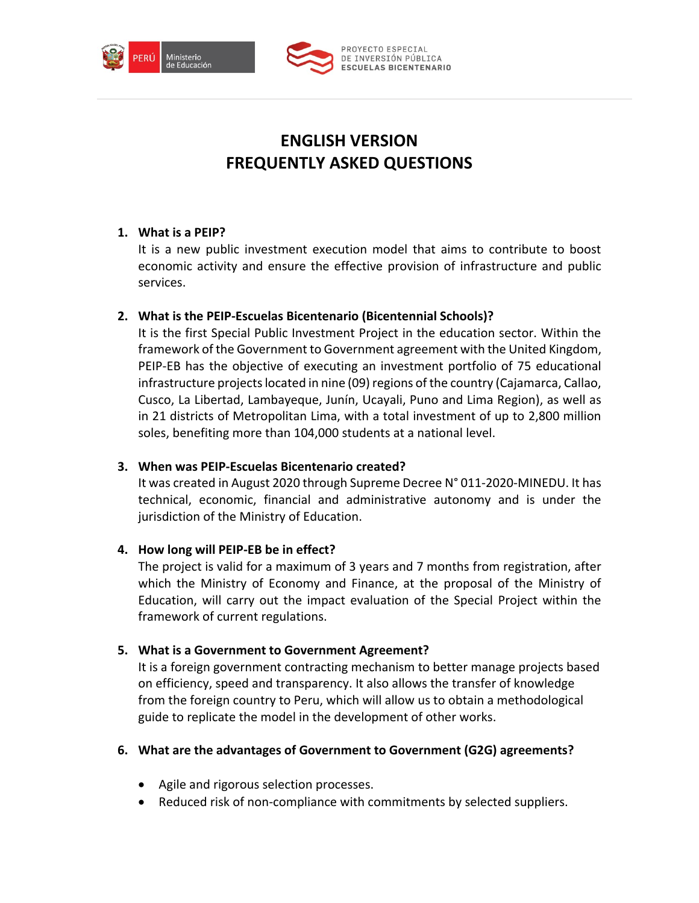



# **ENGLISH VERSION FREQUENTLY ASKED QUESTIONS**

# **1. What is a PEIP?**

It is a new public investment execution model that aims to contribute to boost economic activity and ensure the effective provision of infrastructure and public services.

# **2. What is the PEIP-Escuelas Bicentenario (Bicentennial Schools)?**

It is the first Special Public Investment Project in the education sector. Within the framework of the Government to Government agreement with the United Kingdom, PEIP-EB has the objective of executing an investment portfolio of 75 educational infrastructure projects located in nine (09) regions of the country (Cajamarca, Callao, Cusco, La Libertad, Lambayeque, Junín, Ucayali, Puno and Lima Region), as well as in 21 districts of Metropolitan Lima, with a total investment of up to 2,800 million soles, benefiting more than 104,000 students at a national level.

# **3. When was PEIP-Escuelas Bicentenario created?**

It was created in August 2020 through Supreme Decree N° 011-2020-MINEDU. It has technical, economic, financial and administrative autonomy and is under the jurisdiction of the Ministry of Education.

# **4. How long will PEIP-EB be in effect?**

The project is valid for a maximum of 3 years and 7 months from registration, after which the Ministry of Economy and Finance, at the proposal of the Ministry of Education, will carry out the impact evaluation of the Special Project within the framework of current regulations.

# **5. What is a Government to Government Agreement?**

It is a foreign government contracting mechanism to better manage projects based on efficiency, speed and transparency. It also allows the transfer of knowledge from the foreign country to Peru, which will allow us to obtain a methodological guide to replicate the model in the development of other works.

# **6. What are the advantages of Government to Government (G2G) agreements?**

- Agile and rigorous selection processes.
- Reduced risk of non-compliance with commitments by selected suppliers.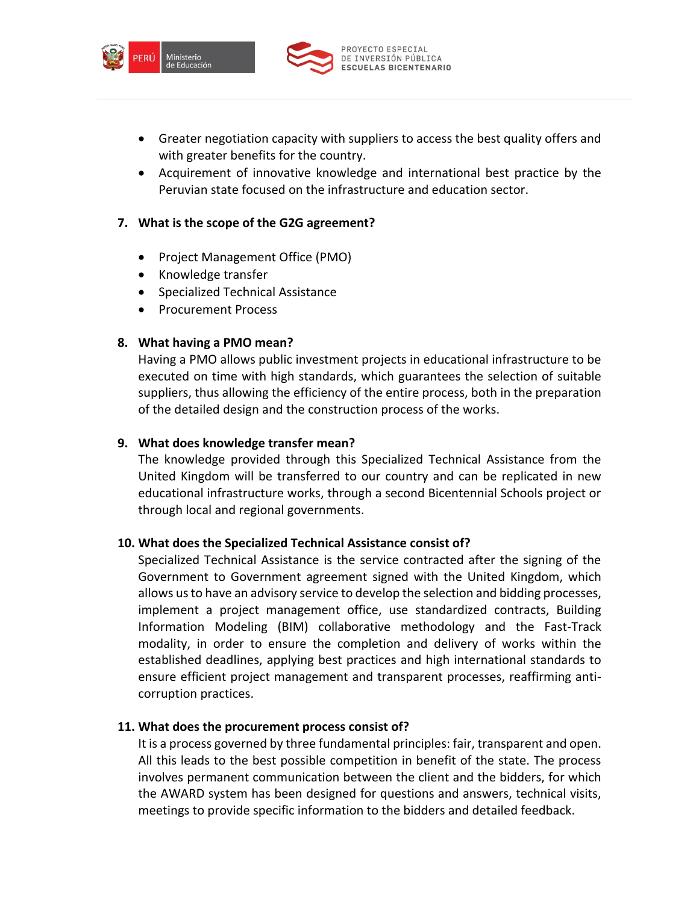



- Greater negotiation capacity with suppliers to access the best quality offers and with greater benefits for the country.
- Acquirement of innovative knowledge and international best practice by the Peruvian state focused on the infrastructure and education sector.

# **7. What is the scope of the G2G agreement?**

- Project Management Office (PMO)
- Knowledge transfer
- Specialized Technical Assistance
- Procurement Process

## **8. What having a PMO mean?**

Having a PMO allows public investment projects in educational infrastructure to be executed on time with high standards, which guarantees the selection of suitable suppliers, thus allowing the efficiency of the entire process, both in the preparation of the detailed design and the construction process of the works.

## **9. What does knowledge transfer mean?**

The knowledge provided through this Specialized Technical Assistance from the United Kingdom will be transferred to our country and can be replicated in new educational infrastructure works, through a second Bicentennial Schools project or through local and regional governments.

## **10. What does the Specialized Technical Assistance consist of?**

Specialized Technical Assistance is the service contracted after the signing of the Government to Government agreement signed with the United Kingdom, which allows us to have an advisory service to develop the selection and bidding processes, implement a project management office, use standardized contracts, Building Information Modeling (BIM) collaborative methodology and the Fast-Track modality, in order to ensure the completion and delivery of works within the established deadlines, applying best practices and high international standards to ensure efficient project management and transparent processes, reaffirming anticorruption practices.

## **11. What does the procurement process consist of?**

It is a process governed by three fundamental principles: fair, transparent and open. All this leads to the best possible competition in benefit of the state. The process involves permanent communication between the client and the bidders, for which the AWARD system has been designed for questions and answers, technical visits, meetings to provide specific information to the bidders and detailed feedback.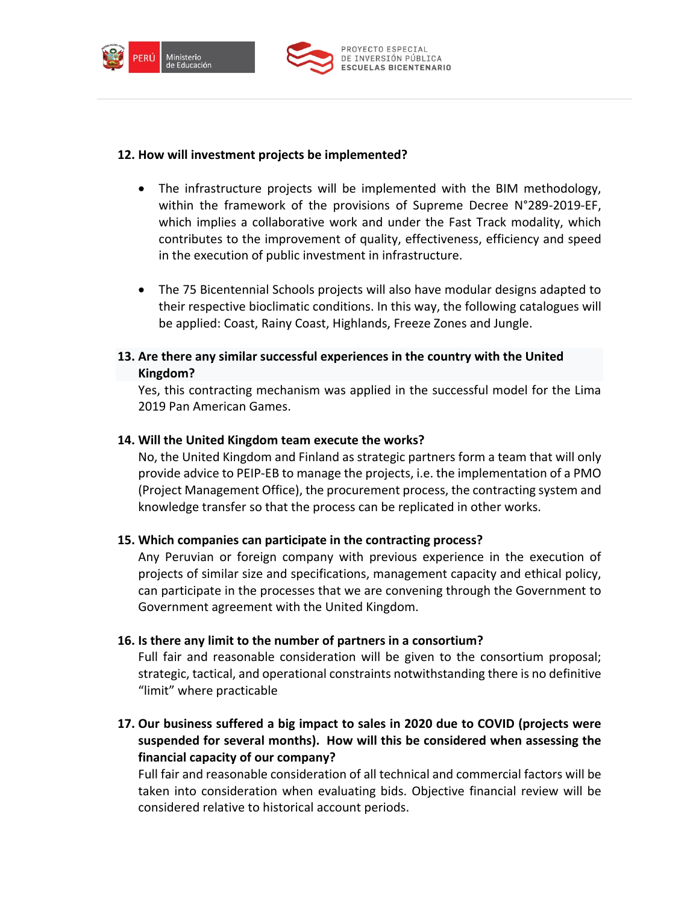



#### **12. How will investment projects be implemented?**

- The infrastructure projects will be implemented with the BIM methodology, within the framework of the provisions of Supreme Decree N°289-2019-EF, which implies a collaborative work and under the Fast Track modality, which contributes to the improvement of quality, effectiveness, efficiency and speed in the execution of public investment in infrastructure.
- The 75 Bicentennial Schools projects will also have modular designs adapted to their respective bioclimatic conditions. In this way, the following catalogues will be applied: Coast, Rainy Coast, Highlands, Freeze Zones and Jungle.
- **13. Are there any similar successful experiences in the country with the United Kingdom?**

Yes, this contracting mechanism was applied in the successful model for the Lima 2019 Pan American Games.

#### **14. Will the United Kingdom team execute the works?**

No, the United Kingdom and Finland as strategic partners form a team that will only provide advice to PEIP-EB to manage the projects, i.e. the implementation of a PMO (Project Management Office), the procurement process, the contracting system and knowledge transfer so that the process can be replicated in other works.

#### **15. Which companies can participate in the contracting process?**

Any Peruvian or foreign company with previous experience in the execution of projects of similar size and specifications, management capacity and ethical policy, can participate in the processes that we are convening through the Government to Government agreement with the United Kingdom.

#### **16. Is there any limit to the number of partners in a consortium?**

Full fair and reasonable consideration will be given to the consortium proposal; strategic, tactical, and operational constraints notwithstanding there is no definitive "limit" where practicable

**17. Our business suffered a big impact to sales in 2020 due to COVID (projects were suspended for several months). How will this be considered when assessing the financial capacity of our company?**

Full fair and reasonable consideration of all technical and commercial factors will be taken into consideration when evaluating bids. Objective financial review will be considered relative to historical account periods.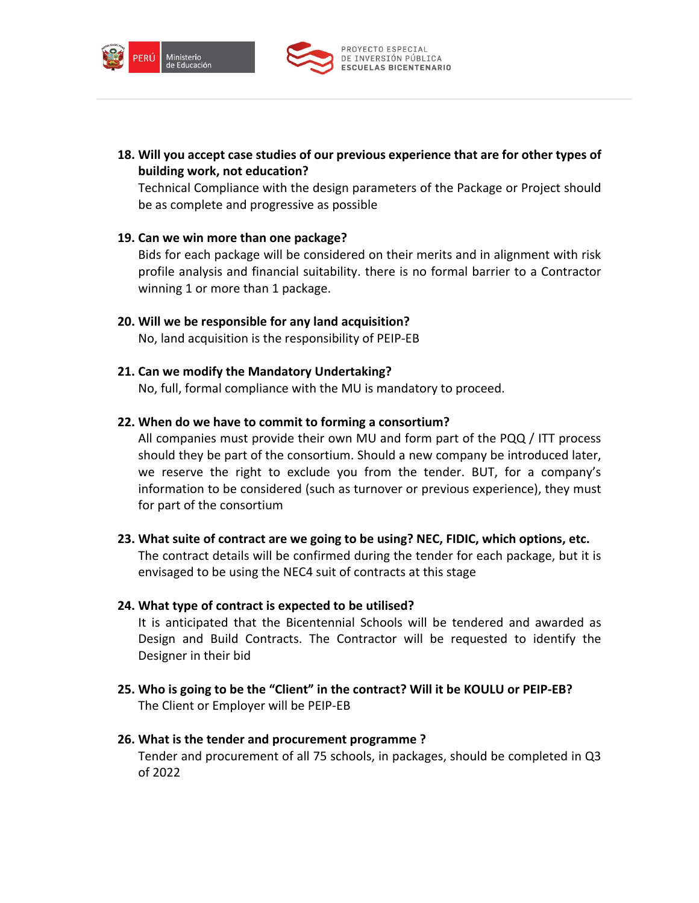



**18. Will you accept case studies of our previous experience that are for other types of building work, not education?**

Technical Compliance with the design parameters of the Package or Project should be as complete and progressive as possible

#### **19. Can we win more than one package?**

Bids for each package will be considered on their merits and in alignment with risk profile analysis and financial suitability. there is no formal barrier to a Contractor winning 1 or more than 1 package.

**20. Will we be responsible for any land acquisition?** No, land acquisition is the responsibility of PEIP-EB

## **21. Can we modify the Mandatory Undertaking?**

No, full, formal compliance with the MU is mandatory to proceed.

#### **22. When do we have to commit to forming a consortium?**

All companies must provide their own MU and form part of the PQQ / ITT process should they be part of the consortium. Should a new company be introduced later, we reserve the right to exclude you from the tender. BUT, for a company's information to be considered (such as turnover or previous experience), they must for part of the consortium

**23. What suite of contract are we going to be using? NEC, FIDIC, which options, etc.** The contract details will be confirmed during the tender for each package, but it is envisaged to be using the NEC4 suit of contracts at this stage

#### **24. What type of contract is expected to be utilised?**

It is anticipated that the Bicentennial Schools will be tendered and awarded as Design and Build Contracts. The Contractor will be requested to identify the Designer in their bid

**25. Who is going to be the "Client" in the contract? Will it be KOULU or PEIP-EB?** The Client or Employer will be PEIP-EB

## **26. What is the tender and procurement programme ?**

Tender and procurement of all 75 schools, in packages, should be completed in Q3 of 2022